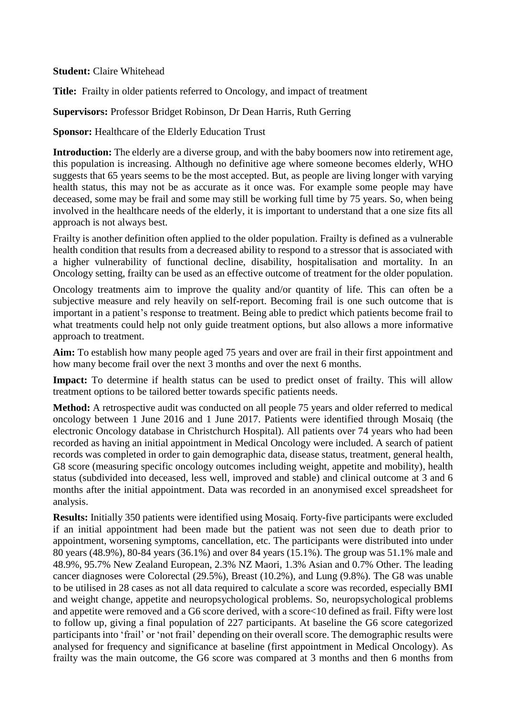**Student:** Claire Whitehead

**Title:** Frailty in older patients referred to Oncology, and impact of treatment

**Supervisors:** Professor Bridget Robinson, Dr Dean Harris, Ruth Gerring

**Sponsor:** Healthcare of the Elderly Education Trust

**Introduction:** The elderly are a diverse group, and with the baby boomers now into retirement age, this population is increasing. Although no definitive age where someone becomes elderly, WHO suggests that 65 years seems to be the most accepted. But, as people are living longer with varying health status, this may not be as accurate as it once was. For example some people may have deceased, some may be frail and some may still be working full time by 75 years. So, when being involved in the healthcare needs of the elderly, it is important to understand that a one size fits all approach is not always best.

Frailty is another definition often applied to the older population. Frailty is defined as a vulnerable health condition that results from a decreased ability to respond to a stressor that is associated with a higher vulnerability of functional decline, disability, hospitalisation and mortality. In an Oncology setting, frailty can be used as an effective outcome of treatment for the older population.

Oncology treatments aim to improve the quality and/or quantity of life. This can often be a subjective measure and rely heavily on self-report. Becoming frail is one such outcome that is important in a patient's response to treatment. Being able to predict which patients become frail to what treatments could help not only guide treatment options, but also allows a more informative approach to treatment.

**Aim:** To establish how many people aged 75 years and over are frail in their first appointment and how many become frail over the next 3 months and over the next 6 months.

**Impact:** To determine if health status can be used to predict onset of frailty. This will allow treatment options to be tailored better towards specific patients needs.

**Method:** A retrospective audit was conducted on all people 75 years and older referred to medical oncology between 1 June 2016 and 1 June 2017. Patients were identified through Mosaiq (the electronic Oncology database in Christchurch Hospital). All patients over 74 years who had been recorded as having an initial appointment in Medical Oncology were included. A search of patient records was completed in order to gain demographic data, disease status, treatment, general health, G8 score (measuring specific oncology outcomes including weight, appetite and mobility), health status (subdivided into deceased, less well, improved and stable) and clinical outcome at 3 and 6 months after the initial appointment. Data was recorded in an anonymised excel spreadsheet for analysis.

**Results:** Initially 350 patients were identified using Mosaiq. Forty-five participants were excluded if an initial appointment had been made but the patient was not seen due to death prior to appointment, worsening symptoms, cancellation, etc. The participants were distributed into under 80 years (48.9%), 80-84 years (36.1%) and over 84 years (15.1%). The group was 51.1% male and 48.9%, 95.7% New Zealand European, 2.3% NZ Maori, 1.3% Asian and 0.7% Other. The leading cancer diagnoses were Colorectal (29.5%), Breast (10.2%), and Lung (9.8%). The G8 was unable to be utilised in 28 cases as not all data required to calculate a score was recorded, especially BMI and weight change, appetite and neuropsychological problems. So, neuropsychological problems and appetite were removed and a G6 score derived, with a score<10 defined as frail. Fifty were lost to follow up, giving a final population of 227 participants. At baseline the G6 score categorized participants into 'frail' or 'not frail' depending on their overall score. The demographic results were analysed for frequency and significance at baseline (first appointment in Medical Oncology). As frailty was the main outcome, the G6 score was compared at 3 months and then 6 months from